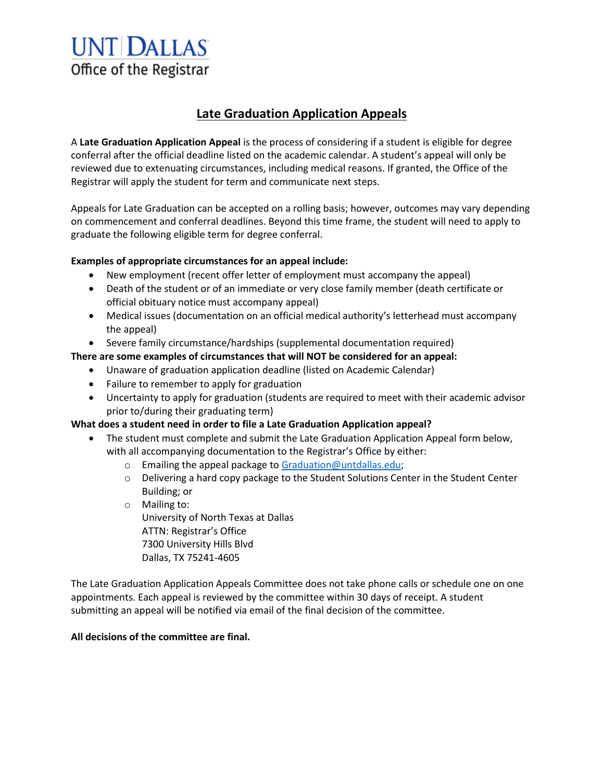# **UNT DALLAS** Office of the Registrar

### **Late Graduation Application Appeals**

A **Late Graduation Application Appeal** is the process of considering if a student is eligible for degree conferral after the official deadline listed on the academic calendar. A student's appeal will only be reviewed due to extenuating circumstances, including medical reasons. If granted, the Office of the Registrar will apply the student for term and communicate next steps.

Appeals for Late Graduation can be accepted on a rolling basis; however, outcomes may vary depending on commencement and conferral deadlines. Beyond this time frame, the student will need to apply to graduate the following eligible term for degree conferral.

#### **Examples of appropriate circumstances for an appeal include:**

- New employment (recent offer letter of employment must accompany the appeal)
- Death of the student or of an immediate or very close family member (death certificate or official obituary notice must accompany appeal)
- Medical issues (documentation on an official medical authority's letterhead must accompany the appeal)
- Severe family circumstance/hardships (supplemental documentation required)

#### **There are some examples of circumstances that will NOT be considered for an appeal:**

- Unaware of graduation application deadline (listed on Academic Calendar)
- Failure to remember to apply for graduation
- Uncertainty to apply for graduation (students are required to meet with their academic advisor prior to/during their graduating term)

#### **What does a student need in order to file a Late Graduation Application appeal?**

- The student must complete and submit the Late Graduation Application Appeal form below, with all accompanying documentation to the Registrar's Office by either:
	- o Emailing the appeal package to [Graduation@untdallas.edu;](mailto:Graduation@untdallas.edu)
	- o Delivering a hard copy package to the Student Solutions Center in the Student Center Building; or
	- o Mailing to: University of North Texas at Dallas ATTN: Registrar's Office 7300 University Hills Blvd Dallas, TX 75241-4605

The Late Graduation Application Appeals Committee does not take phone calls or schedule one on one appointments. Each appeal is reviewed by the committee within 30 days of receipt. A student submitting an appeal will be notified via email of the final decision of the committee.

#### **All decisions of the committee are final.**